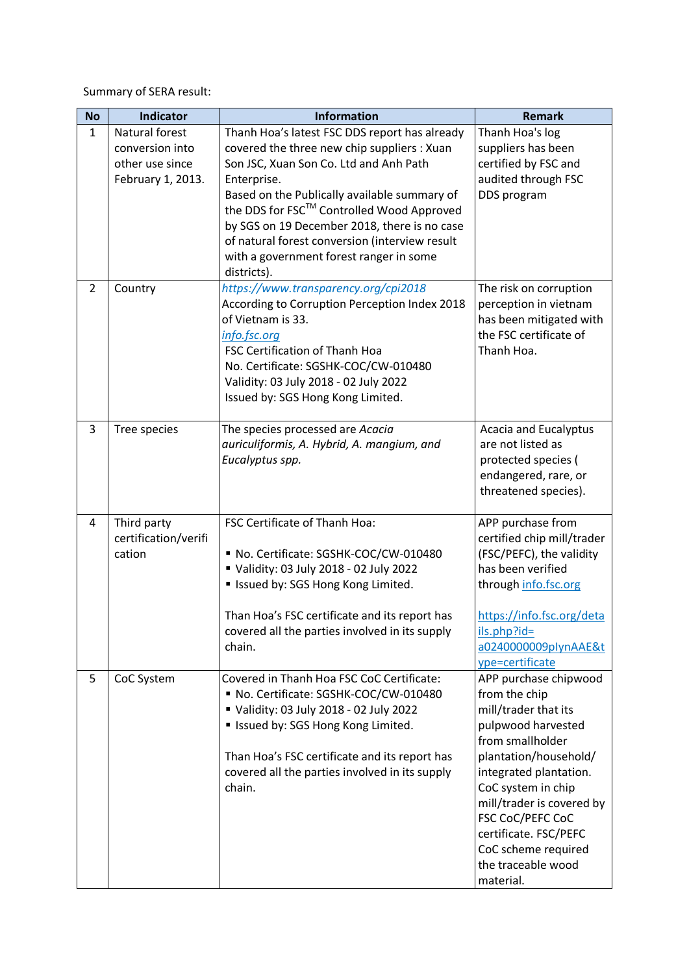Summary of SERA result:

| <b>No</b>      | <b>Indicator</b>     | <b>Information</b>                                                             | <b>Remark</b>                              |
|----------------|----------------------|--------------------------------------------------------------------------------|--------------------------------------------|
| $\mathbf{1}$   | Natural forest       | Thanh Hoa's latest FSC DDS report has already                                  | Thanh Hoa's log                            |
|                | conversion into      | covered the three new chip suppliers : Xuan                                    | suppliers has been                         |
|                | other use since      | Son JSC, Xuan Son Co. Ltd and Anh Path                                         | certified by FSC and                       |
|                | February 1, 2013.    | Enterprise.                                                                    | audited through FSC                        |
|                |                      | Based on the Publically available summary of                                   | DDS program                                |
|                |                      | the DDS for FSC™ Controlled Wood Approved                                      |                                            |
|                |                      | by SGS on 19 December 2018, there is no case                                   |                                            |
|                |                      | of natural forest conversion (interview result                                 |                                            |
|                |                      | with a government forest ranger in some                                        |                                            |
|                |                      | districts).                                                                    |                                            |
| $\overline{2}$ | Country              | https://www.transparency.org/cpi2018                                           | The risk on corruption                     |
|                |                      | According to Corruption Perception Index 2018                                  | perception in vietnam                      |
|                |                      | of Vietnam is 33.                                                              | has been mitigated with                    |
|                |                      | info.fsc.org                                                                   | the FSC certificate of                     |
|                |                      | FSC Certification of Thanh Hoa                                                 | Thanh Hoa.                                 |
|                |                      | No. Certificate: SGSHK-COC/CW-010480                                           |                                            |
|                |                      | Validity: 03 July 2018 - 02 July 2022                                          |                                            |
|                |                      | Issued by: SGS Hong Kong Limited.                                              |                                            |
| 3              |                      |                                                                                |                                            |
|                | Tree species         | The species processed are Acacia<br>auriculiformis, A. Hybrid, A. mangium, and | Acacia and Eucalyptus<br>are not listed as |
|                |                      | Eucalyptus spp.                                                                | protected species (                        |
|                |                      |                                                                                | endangered, rare, or                       |
|                |                      |                                                                                | threatened species).                       |
|                |                      |                                                                                |                                            |
| 4              | Third party          | FSC Certificate of Thanh Hoa:                                                  | APP purchase from                          |
|                | certification/verifi |                                                                                | certified chip mill/trader                 |
|                | cation               | No. Certificate: SGSHK-COC/CW-010480                                           | (FSC/PEFC), the validity                   |
|                |                      | Validity: 03 July 2018 - 02 July 2022                                          | has been verified                          |
|                |                      | " Issued by: SGS Hong Kong Limited.                                            | through info.fsc.org                       |
|                |                      |                                                                                |                                            |
|                |                      | Than Hoa's FSC certificate and its report has                                  | https://info.fsc.org/deta                  |
|                |                      | covered all the parties involved in its supply                                 | ils.php?id=                                |
|                |                      | chain.                                                                         | a0240000009plynAAE&t                       |
|                |                      |                                                                                | ype=certificate                            |
| 5              | CoC System           | Covered in Thanh Hoa FSC CoC Certificate:                                      | APP purchase chipwood                      |
|                |                      | No. Certificate: SGSHK-COC/CW-010480                                           | from the chip<br>mill/trader that its      |
|                |                      | Validity: 03 July 2018 - 02 July 2022                                          |                                            |
|                |                      | " Issued by: SGS Hong Kong Limited.                                            | pulpwood harvested<br>from smallholder     |
|                |                      |                                                                                | plantation/household/                      |
|                |                      | Than Hoa's FSC certificate and its report has                                  |                                            |
|                |                      |                                                                                |                                            |
|                |                      | covered all the parties involved in its supply                                 | integrated plantation.                     |
|                |                      | chain.                                                                         | CoC system in chip                         |
|                |                      |                                                                                | mill/trader is covered by                  |
|                |                      |                                                                                | FSC CoC/PEFC CoC                           |
|                |                      |                                                                                | certificate. FSC/PEFC                      |
|                |                      |                                                                                | CoC scheme required<br>the traceable wood  |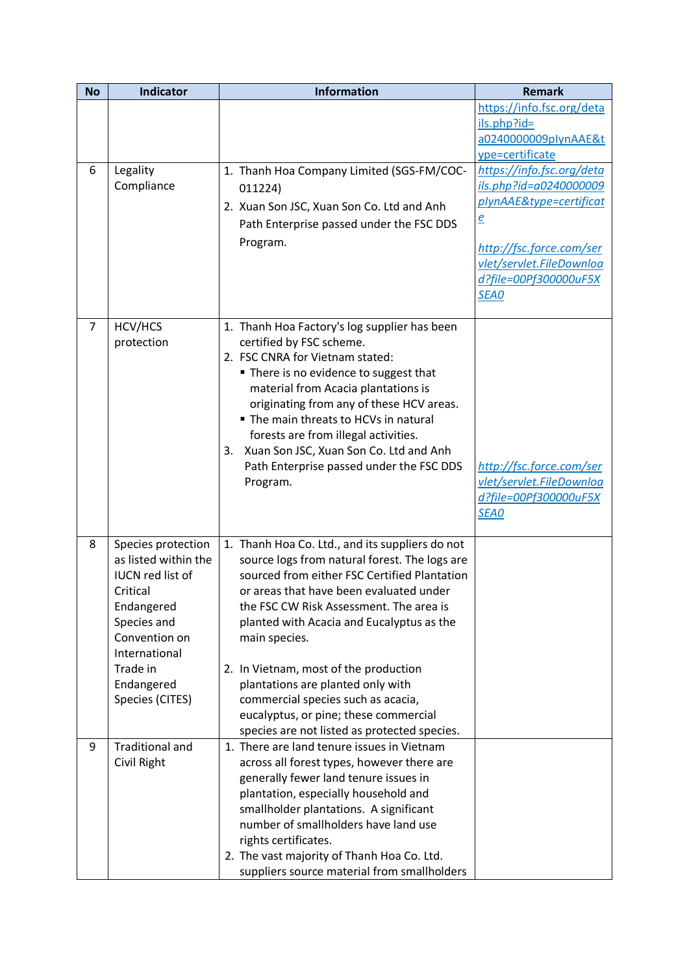| <b>No</b>      | <b>Indicator</b>        | <b>Information</b>                                                                   | <b>Remark</b>             |
|----------------|-------------------------|--------------------------------------------------------------------------------------|---------------------------|
|                |                         |                                                                                      | https://info.fsc.org/deta |
|                |                         |                                                                                      | ils.php?id=               |
|                |                         |                                                                                      | a0240000009plynAAE&t      |
|                |                         |                                                                                      | ype=certificate           |
| 6              | Legality                | 1. Thanh Hoa Company Limited (SGS-FM/COC-                                            | https://info.fsc.org/deta |
|                | Compliance              | 011224)                                                                              | ils.php?id=a0240000009    |
|                |                         | 2. Xuan Son JSC, Xuan Son Co. Ltd and Anh                                            | plynAAE&type=certificat   |
|                |                         | Path Enterprise passed under the FSC DDS                                             | $\underline{e}$           |
|                |                         | Program.                                                                             | http://fsc.force.com/ser  |
|                |                         |                                                                                      | vlet/servlet.FileDownloa  |
|                |                         |                                                                                      | d?file=00Pf300000uF5X     |
|                |                         |                                                                                      | SEA0                      |
|                |                         |                                                                                      |                           |
| $\overline{7}$ | HCV/HCS                 | 1. Thanh Hoa Factory's log supplier has been                                         |                           |
|                | protection              | certified by FSC scheme.                                                             |                           |
|                |                         | 2. FSC CNRA for Vietnam stated:                                                      |                           |
|                |                         | " There is no evidence to suggest that                                               |                           |
|                |                         | material from Acacia plantations is                                                  |                           |
|                |                         | originating from any of these HCV areas.                                             |                           |
|                |                         | " The main threats to HCVs in natural                                                |                           |
|                |                         | forests are from illegal activities.<br>Xuan Son JSC, Xuan Son Co. Ltd and Anh<br>3. |                           |
|                |                         | Path Enterprise passed under the FSC DDS                                             | http://fsc.force.com/ser  |
|                |                         | Program.                                                                             | vlet/servlet.FileDownloa  |
|                |                         |                                                                                      | d?file=00Pf300000uF5X     |
|                |                         |                                                                                      | SEA0                      |
|                |                         |                                                                                      |                           |
| 8              | Species protection      | 1. Thanh Hoa Co. Ltd., and its suppliers do not                                      |                           |
|                | as listed within the    | source logs from natural forest. The logs are                                        |                           |
|                | <b>IUCN red list of</b> | sourced from either FSC Certified Plantation                                         |                           |
|                | Critical                | or areas that have been evaluated under                                              |                           |
|                | Endangered              | the FSC CW Risk Assessment. The area is                                              |                           |
|                | Species and             | planted with Acacia and Eucalyptus as the                                            |                           |
|                | Convention on           | main species.                                                                        |                           |
|                | International           |                                                                                      |                           |
|                | Trade in<br>Endangered  | 2. In Vietnam, most of the production<br>plantations are planted only with           |                           |
|                | Species (CITES)         | commercial species such as acacia,                                                   |                           |
|                |                         | eucalyptus, or pine; these commercial                                                |                           |
|                |                         | species are not listed as protected species.                                         |                           |
| 9              | <b>Traditional and</b>  | 1. There are land tenure issues in Vietnam                                           |                           |
|                | Civil Right             | across all forest types, however there are                                           |                           |
|                |                         | generally fewer land tenure issues in                                                |                           |
|                |                         | plantation, especially household and                                                 |                           |
|                |                         | smallholder plantations. A significant                                               |                           |
|                |                         | number of smallholders have land use                                                 |                           |
|                |                         | rights certificates.                                                                 |                           |
|                |                         | 2. The vast majority of Thanh Hoa Co. Ltd.                                           |                           |
|                |                         | suppliers source material from smallholders                                          |                           |